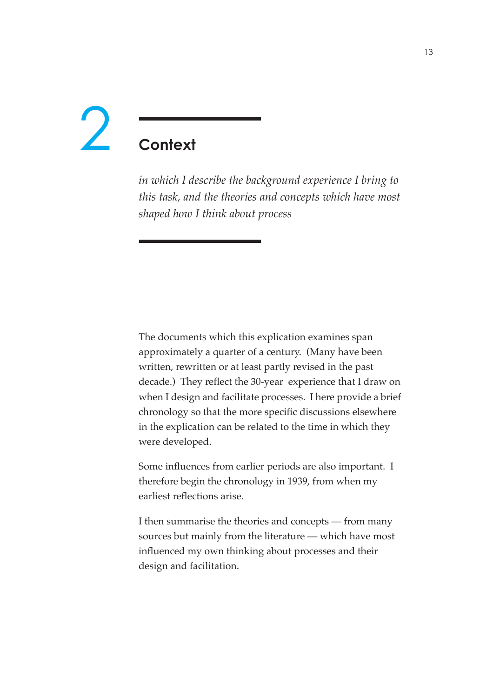# **Context**  $\overline{\phantom{a}}$

*in which I describe the background experience I bring to this task, and the theories and concepts which have most shaped how I think about process*

The documents which this explication examines span approximately a quarter of a century. (Many have been written, rewritten or at least partly revised in the past decade.) They reflect the 30-year experience that I draw on when I design and facilitate processes. I here provide a brief chronology so that the more specific discussions elsewhere in the explication can be related to the time in which they were developed.

Some influences from earlier periods are also important. I therefore begin the chronology in 1939, from when my earliest reflections arise.

I then summarise the theories and concepts — from many sources but mainly from the literature — which have most influenced my own thinking about processes and their design and facilitation.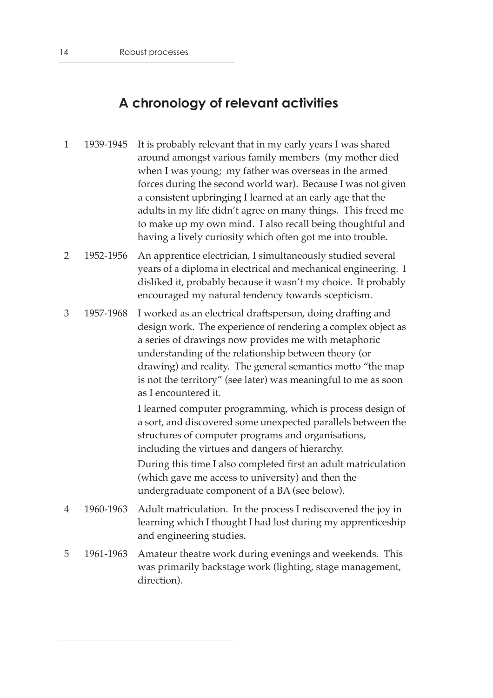# **A chronology of relevant activities**

- 1 1939-1945 It is probably relevant that in my early years I was shared around amongst various family members (my mother died when I was young; my father was overseas in the armed forces during the second world war). Because I was not given a consistent upbringing I learned at an early age that the adults in my life didn't agree on many things. This freed me to make up my own mind. I also recall being thoughtful and having a lively curiosity which often got me into trouble.
- 2 1952-1956 An apprentice electrician, I simultaneously studied several years of a diploma in electrical and mechanical engineering. I disliked it, probably because it wasn't my choice. It probably encouraged my natural tendency towards scepticism.
- 3 1957-1968 I worked as an electrical draftsperson, doing drafting and design work. The experience of rendering a complex object as a series of drawings now provides me with metaphoric understanding of the relationship between theory (or drawing) and reality. The general semantics motto "the map is not the territory" (see later) was meaningful to me as soon as I encountered it.

I learned computer programming, which is process design of a sort, and discovered some unexpected parallels between the structures of computer programs and organisations, including the virtues and dangers of hierarchy.

During this time I also completed first an adult matriculation (which gave me access to university) and then the undergraduate component of a BA (see below).

- 4 1960-1963 Adult matriculation. In the process I rediscovered the joy in learning which I thought I had lost during my apprenticeship and engineering studies.
- 5 1961-1963 Amateur theatre work during evenings and weekends. This was primarily backstage work (lighting, stage management, direction).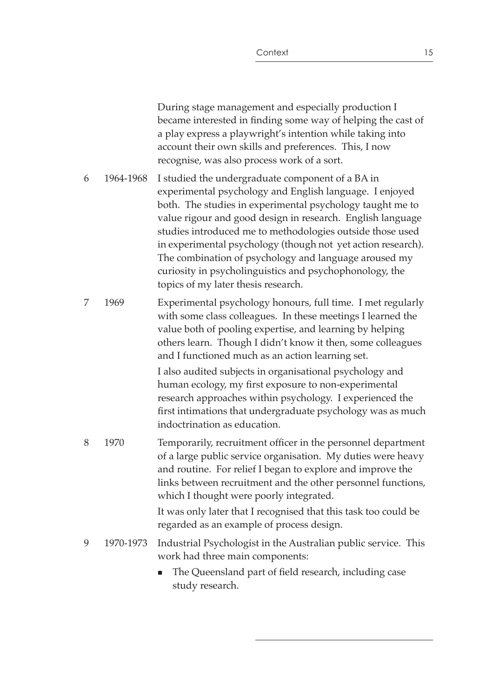|   |           | During stage management and especially production I<br>became interested in finding some way of helping the cast of<br>a play express a playwright's intention while taking into<br>account their own skills and preferences. This, I now<br>recognise, was also process work of a sort.                                                                                                                                                                                                                                       |
|---|-----------|--------------------------------------------------------------------------------------------------------------------------------------------------------------------------------------------------------------------------------------------------------------------------------------------------------------------------------------------------------------------------------------------------------------------------------------------------------------------------------------------------------------------------------|
| 6 | 1964-1968 | I studied the undergraduate component of a BA in<br>experimental psychology and English language. I enjoyed<br>both. The studies in experimental psychology taught me to<br>value rigour and good design in research. English language<br>studies introduced me to methodologies outside those used<br>in experimental psychology (though not yet action research).<br>The combination of psychology and language aroused my<br>curiosity in psycholinguistics and psychophonology, the<br>topics of my later thesis research. |
| 7 | 1969      | Experimental psychology honours, full time. I met regularly<br>with some class colleagues. In these meetings I learned the<br>value both of pooling expertise, and learning by helping<br>others learn. Though I didn't know it then, some colleagues<br>and I functioned much as an action learning set.                                                                                                                                                                                                                      |
|   |           | I also audited subjects in organisational psychology and<br>human ecology, my first exposure to non-experimental<br>research approaches within psychology. I experienced the<br>first intimations that undergraduate psychology was as much<br>indoctrination as education.                                                                                                                                                                                                                                                    |
| 8 | 1970      | Temporarily, recruitment officer in the personnel department<br>of a large public service organisation. My duties were heavy<br>and routine. For relief I began to explore and improve the<br>links between recruitment and the other personnel functions,<br>which I thought were poorly integrated.                                                                                                                                                                                                                          |
|   |           | It was only later that I recognised that this task too could be<br>regarded as an example of process design.                                                                                                                                                                                                                                                                                                                                                                                                                   |
| 9 | 1970-1973 | Industrial Psychologist in the Australian public service. This<br>work had three main components:                                                                                                                                                                                                                                                                                                                                                                                                                              |
|   |           | The Queensland part of field research, including case<br>$\blacksquare$<br>study research.                                                                                                                                                                                                                                                                                                                                                                                                                                     |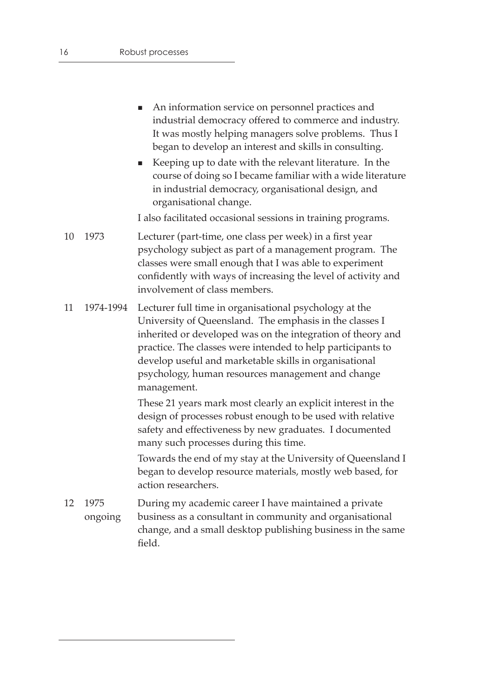- An information service on personnel practices and industrial democracy offered to commerce and industry. It was mostly helping managers solve problems. Thus I began to develop an interest and skills in consulting.
- Keeping up to date with the relevant literature. In the course of doing so I became familiar with a wide literature in industrial democracy, organisational design, and organisational change.

I also facilitated occasional sessions in training programs.

- 10 1973 Lecturer (part-time, one class per week) in a first year psychology subject as part of a management program. The classes were small enough that I was able to experiment confidently with ways of increasing the level of activity and involvement of class members.
- 11 1974-1994 Lecturer full time in organisational psychology at the University of Queensland. The emphasis in the classes I inherited or developed was on the integration of theory and practice. The classes were intended to help participants to develop useful and marketable skills in organisational psychology, human resources management and change management.

These 21 years mark most clearly an explicit interest in the design of processes robust enough to be used with relative safety and effectiveness by new graduates. I documented many such processes during this time.

Towards the end of my stay at the University of Queensland I began to develop resource materials, mostly web based, for action researchers.

12 1975 ongoing During my academic career I have maintained a private business as a consultant in community and organisational change, and a small desktop publishing business in the same field.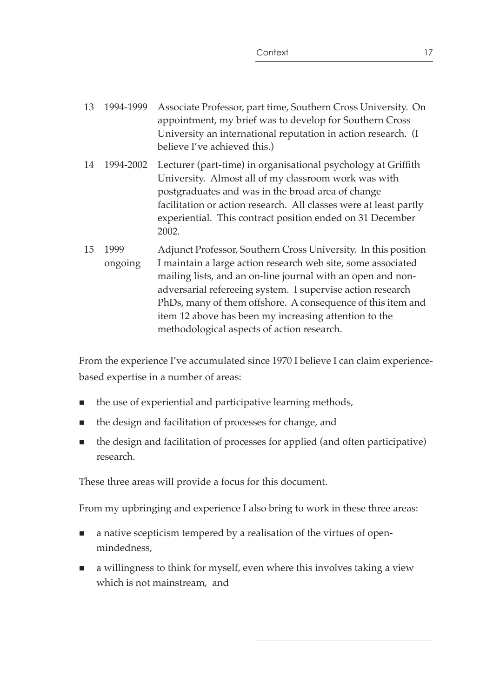- 13 1994-1999 Associate Professor, part time, Southern Cross University. On appointment, my brief was to develop for Southern Cross University an international reputation in action research. (I believe I've achieved this.)
- 14 1994-2002 Lecturer (part-time) in organisational psychology at Griffith University. Almost all of my classroom work was with postgraduates and was in the broad area of change facilitation or action research. All classes were at least partly experiential. This contract position ended on 31 December 2002.
- 15 1999 ongoing Adjunct Professor, Southern Cross University. In this position I maintain a large action research web site, some associated mailing lists, and an on-line journal with an open and nonadversarial refereeing system. I supervise action research PhDs, many of them offshore. A consequence of this item and item 12 above has been my increasing attention to the methodological aspects of action research.

From the experience I've accumulated since 1970 I believe I can claim experiencebased expertise in a number of areas:

- the use of experiential and participative learning methods,
- the design and facilitation of processes for change, and
- the design and facilitation of processes for applied (and often participative) research.

These three areas will provide a focus for this document.

From my upbringing and experience I also bring to work in these three areas:

- a native scepticism tempered by a realisation of the virtues of openmindedness,
- a willingness to think for myself, even where this involves taking a view which is not mainstream, and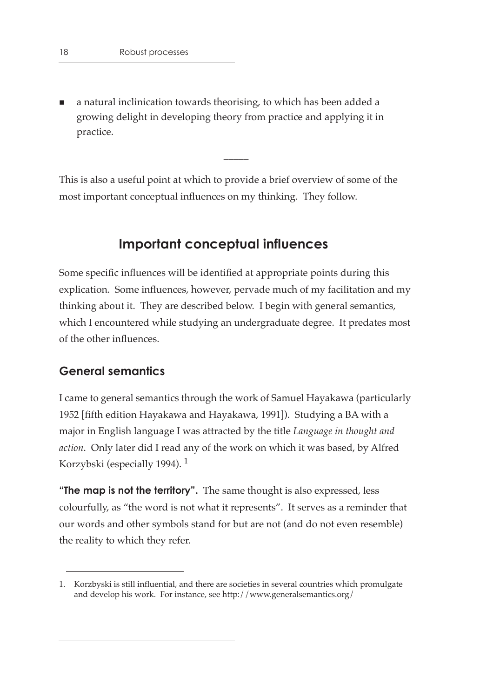a natural inclinication towards theorising, to which has been added a growing delight in developing theory from practice and applying it in practice.

This is also a useful point at which to provide a brief overview of some of the most important conceptual influences on my thinking. They follow.

 $\overline{\phantom{a}}$ 

## **Important conceptual influences**

Some specific influences will be identified at appropriate points during this explication. Some influences, however, pervade much of my facilitation and my thinking about it. They are described below. I begin with general semantics, which I encountered while studying an undergraduate degree. It predates most of the other influences.

#### **General semantics**

I came to general semantics through the work of Samuel Hayakawa (particularly 1952 [fifth edition Hayakawa and Hayakawa, 1991]). Studying a BA with a major in English language I was attracted by the title *Language in thought and action*. Only later did I read any of the work on which it was based, by Alfred Korzybski (especially 1994). 1

**"The map is not the territory".** The same thought is also expressed, less colourfully, as "the word is not what it represents". It serves as a reminder that our words and other symbols stand for but are not (and do not even resemble) the reality to which they refer.

<sup>1.</sup> Korzbyski is still influential, and there are societies in several countries which promulgate and develop his work. For instance, see http://www.generalsemantics.org/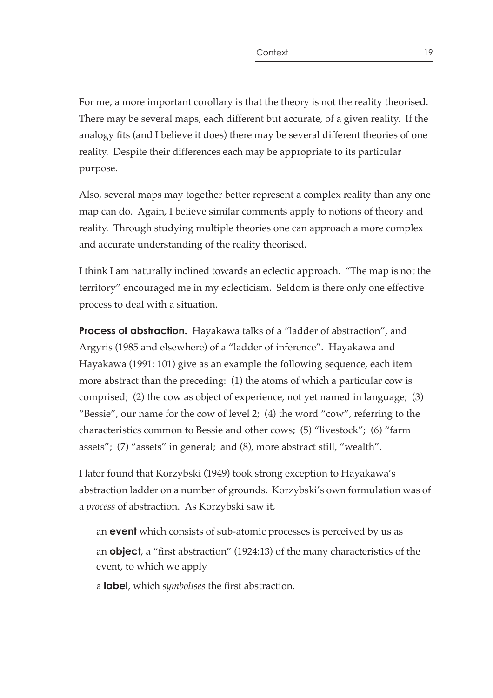For me, a more important corollary is that the theory is not the reality theorised. There may be several maps, each different but accurate, of a given reality. If the analogy fits (and I believe it does) there may be several different theories of one reality. Despite their differences each may be appropriate to its particular purpose.

Also, several maps may together better represent a complex reality than any one map can do. Again, I believe similar comments apply to notions of theory and reality. Through studying multiple theories one can approach a more complex and accurate understanding of the reality theorised.

I think I am naturally inclined towards an eclectic approach. "The map is not the territory" encouraged me in my eclecticism. Seldom is there only one effective process to deal with a situation.

**Process of abstraction.** Hayakawa talks of a "ladder of abstraction", and Argyris (1985 and elsewhere) of a "ladder of inference". Hayakawa and Hayakawa (1991: 101) give as an example the following sequence, each item more abstract than the preceding: (1) the atoms of which a particular cow is comprised; (2) the cow as object of experience, not yet named in language; (3) "Bessie", our name for the cow of level 2; (4) the word "cow", referring to the characteristics common to Bessie and other cows; (5) "livestock"; (6) "farm assets"; (7) "assets" in general; and (8), more abstract still, "wealth".

I later found that Korzybski (1949) took strong exception to Hayakawa's abstraction ladder on a number of grounds. Korzybski's own formulation was of a *process* of abstraction. As Korzybski saw it,

an **event** which consists of sub-atomic processes is perceived by us as an **object**, a "first abstraction" (1924:13) of the many characteristics of the event, to which we apply

a **label**, which *symbolises* the first abstraction.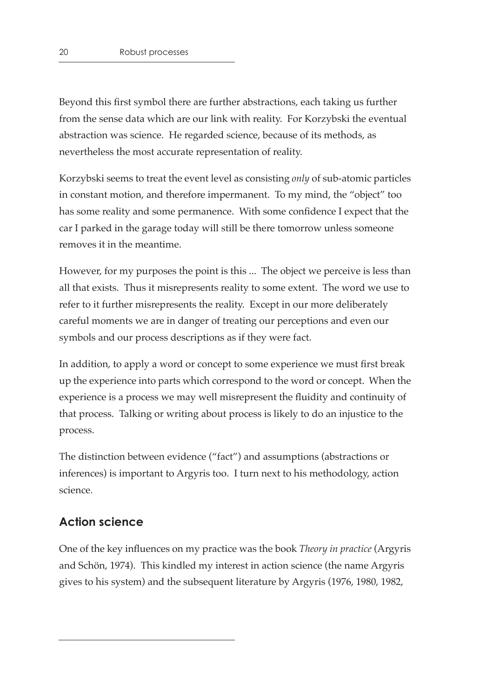Beyond this first symbol there are further abstractions, each taking us further from the sense data which are our link with reality. For Korzybski the eventual abstraction was science. He regarded science, because of its methods, as nevertheless the most accurate representation of reality.

Korzybski seems to treat the event level as consisting *only* of sub-atomic particles in constant motion, and therefore impermanent. To my mind, the "object" too has some reality and some permanence. With some confidence I expect that the car I parked in the garage today will still be there tomorrow unless someone removes it in the meantime.

However, for my purposes the point is this ... The object we perceive is less than all that exists. Thus it misrepresents reality to some extent. The word we use to refer to it further misrepresents the reality. Except in our more deliberately careful moments we are in danger of treating our perceptions and even our symbols and our process descriptions as if they were fact.

In addition, to apply a word or concept to some experience we must first break up the experience into parts which correspond to the word or concept. When the experience is a process we may well misrepresent the fluidity and continuity of that process. Talking or writing about process is likely to do an injustice to the process.

The distinction between evidence ("fact") and assumptions (abstractions or inferences) is important to Argyris too. I turn next to his methodology, action science.

## **Action science**

One of the key influences on my practice was the book *Theory in practice* (Argyris and Schön, 1974). This kindled my interest in action science (the name Argyris gives to his system) and the subsequent literature by Argyris (1976, 1980, 1982,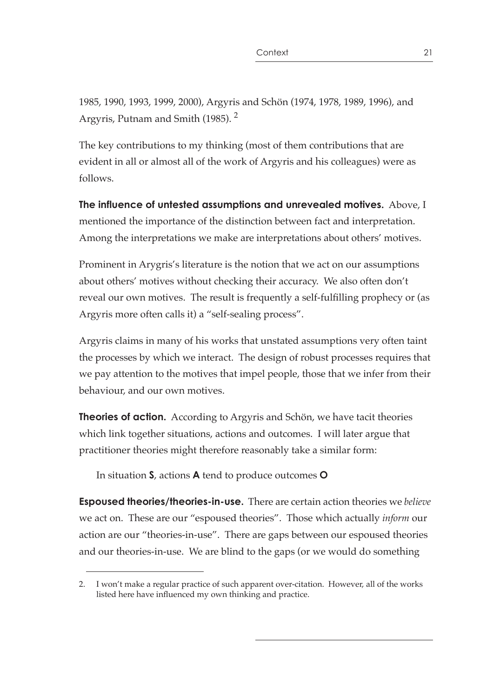1985, 1990, 1993, 1999, 2000), Argyris and Schön (1974, 1978, 1989, 1996), and Argyris, Putnam and Smith (1985). 2

The key contributions to my thinking (most of them contributions that are evident in all or almost all of the work of Argyris and his colleagues) were as follows.

**The influence of untested assumptions and unrevealed motives.** Above, I mentioned the importance of the distinction between fact and interpretation. Among the interpretations we make are interpretations about others' motives.

Prominent in Arygris's literature is the notion that we act on our assumptions about others' motives without checking their accuracy. We also often don't reveal our own motives. The result is frequently a self-fulfilling prophecy or (as Argyris more often calls it) a "self-sealing process".

Argyris claims in many of his works that unstated assumptions very often taint the processes by which we interact. The design of robust processes requires that we pay attention to the motives that impel people, those that we infer from their behaviour, and our own motives.

**Theories of action.** According to Argyris and Schön, we have tacit theories which link together situations, actions and outcomes. I will later argue that practitioner theories might therefore reasonably take a similar form:

In situation **S**, actions **A** tend to produce outcomes **O**

**Espoused theories/theories-in-use.** There are certain action theories we *believe* we act on. These are our "espoused theories". Those which actually *inform* our action are our "theories-in-use". There are gaps between our espoused theories and our theories-in-use. We are blind to the gaps (or we would do something

<sup>2.</sup> I won't make a regular practice of such apparent over-citation. However, all of the works listed here have influenced my own thinking and practice.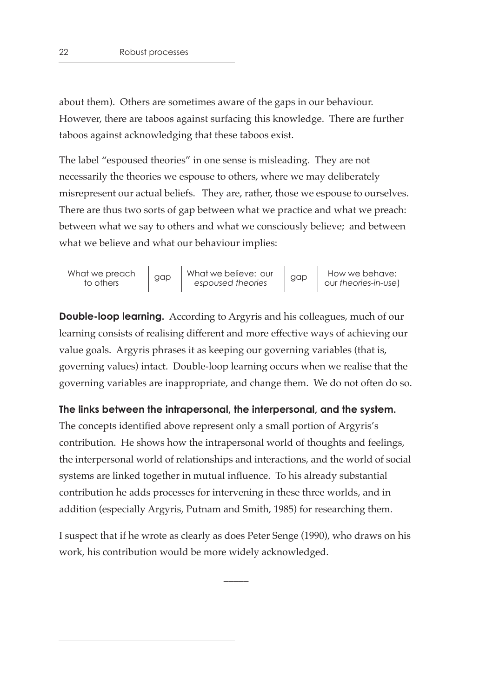about them). Others are sometimes aware of the gaps in our behaviour. However, there are taboos against surfacing this knowledge. There are further taboos against acknowledging that these taboos exist.

The label "espoused theories" in one sense is misleading. They are not necessarily the theories we espouse to others, where we may deliberately misrepresent our actual beliefs. They are, rather, those we espouse to ourselves. There are thus two sorts of gap between what we practice and what we preach: between what we say to others and what we consciously believe; and between what we believe and what our behaviour implies:

| What we preach<br>to others | gap | What we believe: our<br>espoused theories | gap | How we behave:<br>our theories-in-use) |
|-----------------------------|-----|-------------------------------------------|-----|----------------------------------------|
|-----------------------------|-----|-------------------------------------------|-----|----------------------------------------|

**Double-loop learning.** According to Argyris and his colleagues, much of our learning consists of realising different and more effective ways of achieving our value goals. Argyris phrases it as keeping our governing variables (that is, governing values) intact. Double-loop learning occurs when we realise that the governing variables are inappropriate, and change them. We do not often do so.

#### **The links between the intrapersonal, the interpersonal, and the system.**

The concepts identified above represent only a small portion of Argyris's contribution. He shows how the intrapersonal world of thoughts and feelings, the interpersonal world of relationships and interactions, and the world of social systems are linked together in mutual influence. To his already substantial contribution he adds processes for intervening in these three worlds, and in addition (especially Argyris, Putnam and Smith, 1985) for researching them.

I suspect that if he wrote as clearly as does Peter Senge (1990), who draws on his work, his contribution would be more widely acknowledged.

 $\overline{\phantom{a}}$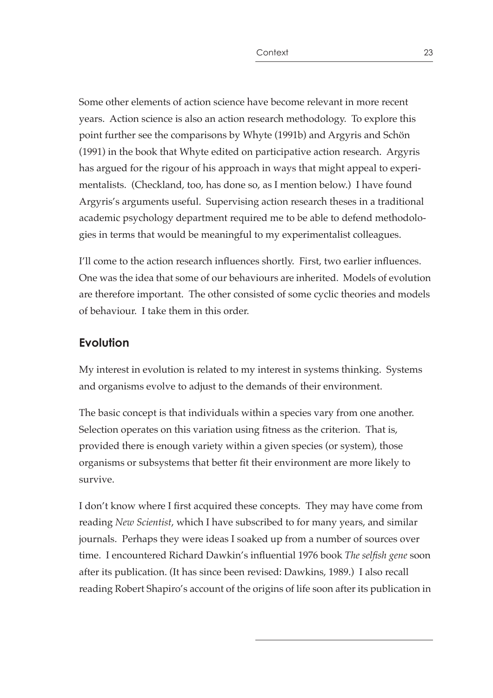Some other elements of action science have become relevant in more recent years. Action science is also an action research methodology. To explore this point further see the comparisons by Whyte (1991b) and Argyris and Schön (1991) in the book that Whyte edited on participative action research. Argyris has argued for the rigour of his approach in ways that might appeal to experimentalists. (Checkland, too, has done so, as I mention below.) I have found Argyris's arguments useful. Supervising action research theses in a traditional academic psychology department required me to be able to defend methodologies in terms that would be meaningful to my experimentalist colleagues.

I'll come to the action research influences shortly. First, two earlier influences. One was the idea that some of our behaviours are inherited. Models of evolution are therefore important. The other consisted of some cyclic theories and models of behaviour. I take them in this order.

#### **Evolution**

My interest in evolution is related to my interest in systems thinking. Systems and organisms evolve to adjust to the demands of their environment.

The basic concept is that individuals within a species vary from one another. Selection operates on this variation using fitness as the criterion. That is, provided there is enough variety within a given species (or system), those organisms or subsystems that better fit their environment are more likely to survive.

I don't know where I first acquired these concepts. They may have come from reading *New Scientist*, which I have subscribed to for many years, and similar journals. Perhaps they were ideas I soaked up from a number of sources over time. I encountered Richard Dawkin's influential 1976 book *The selfish gene* soon after its publication. (It has since been revised: Dawkins, 1989.) I also recall reading Robert Shapiro's account of the origins of life soon after its publication in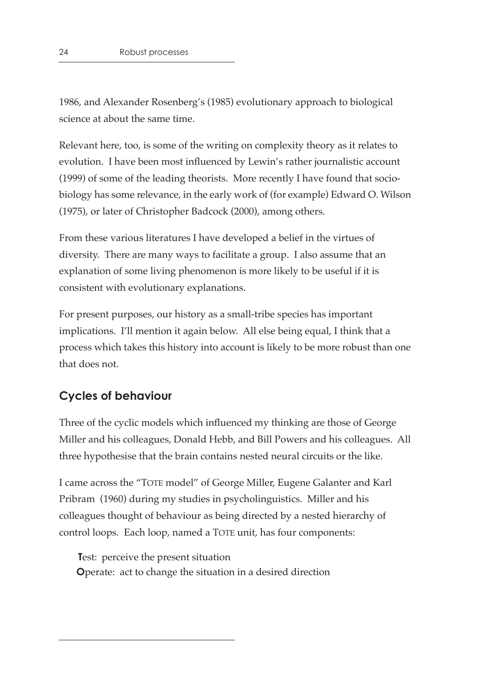1986, and Alexander Rosenberg's (1985) evolutionary approach to biological science at about the same time.

Relevant here, too, is some of the writing on complexity theory as it relates to evolution. I have been most influenced by Lewin's rather journalistic account (1999) of some of the leading theorists. More recently I have found that sociobiology has some relevance, in the early work of (for example) Edward O. Wilson (1975), or later of Christopher Badcock (2000), among others.

From these various literatures I have developed a belief in the virtues of diversity. There are many ways to facilitate a group. I also assume that an explanation of some living phenomenon is more likely to be useful if it is consistent with evolutionary explanations.

For present purposes, our history as a small-tribe species has important implications. I'll mention it again below. All else being equal, I think that a process which takes this history into account is likely to be more robust than one that does not.

#### **Cycles of behaviour**

Three of the cyclic models which influenced my thinking are those of George Miller and his colleagues, Donald Hebb, and Bill Powers and his colleagues. All three hypothesise that the brain contains nested neural circuits or the like.

I came across the "TOTE model" of George Miller, Eugene Galanter and Karl Pribram (1960) during my studies in psycholinguistics. Miller and his colleagues thought of behaviour as being directed by a nested hierarchy of control loops. Each loop, named a TOTE unit, has four components:

**T**est: perceive the present situation **O**perate: act to change the situation in a desired direction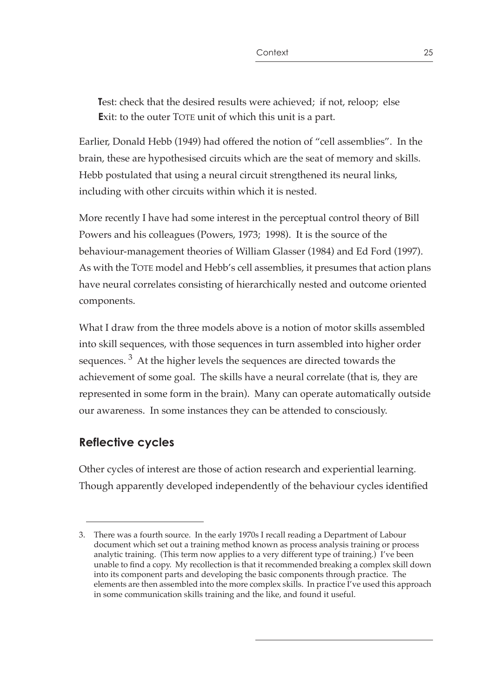**T**est: check that the desired results were achieved; if not, reloop; else **E**xit: to the outer TOTE unit of which this unit is a part.

Earlier, Donald Hebb (1949) had offered the notion of "cell assemblies". In the brain, these are hypothesised circuits which are the seat of memory and skills. Hebb postulated that using a neural circuit strengthened its neural links, including with other circuits within which it is nested.

More recently I have had some interest in the perceptual control theory of Bill Powers and his colleagues (Powers, 1973; 1998). It is the source of the behaviour-management theories of William Glasser (1984) and Ed Ford (1997). As with the TOTE model and Hebb's cell assemblies, it presumes that action plans have neural correlates consisting of hierarchically nested and outcome oriented components.

What I draw from the three models above is a notion of motor skills assembled into skill sequences, with those sequences in turn assembled into higher order sequences. 3 At the higher levels the sequences are directed towards the achievement of some goal. The skills have a neural correlate (that is, they are represented in some form in the brain). Many can operate automatically outside our awareness. In some instances they can be attended to consciously.

## **Reflective cycles**

Other cycles of interest are those of action research and experiential learning. Though apparently developed independently of the behaviour cycles identified

<sup>3.</sup> There was a fourth source. In the early 1970s I recall reading a Department of Labour document which set out a training method known as process analysis training or process analytic training. (This term now applies to a very different type of training.) I've been unable to find a copy. My recollection is that it recommended breaking a complex skill down into its component parts and developing the basic components through practice. The elements are then assembled into the more complex skills. In practice I've used this approach in some communication skills training and the like, and found it useful.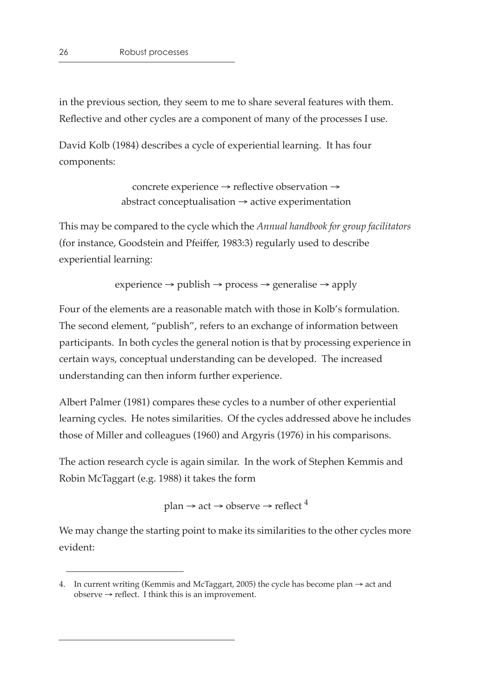in the previous section, they seem to me to share several features with them. Reflective and other cycles are a component of many of the processes I use.

David Kolb (1984) describes a cycle of experiential learning. It has four components:

> concrete experience → reflective observation →  $abstract$  conceptualisation  $\rightarrow$  active experimentation

This may be compared to the cycle which the *Annual handbook for group facilitators* (for instance, Goodstein and Pfeiffer, 1983:3) regularly used to describe experiential learning:

experience  $\rightarrow$  publish  $\rightarrow$  process  $\rightarrow$  generalise  $\rightarrow$  apply

Four of the elements are a reasonable match with those in Kolb's formulation. The second element, "publish", refers to an exchange of information between participants. In both cycles the general notion is that by processing experience in certain ways, conceptual understanding can be developed. The increased understanding can then inform further experience.

Albert Palmer (1981) compares these cycles to a number of other experiential learning cycles. He notes similarities. Of the cycles addressed above he includes those of Miller and colleagues (1960) and Argyris (1976) in his comparisons.

The action research cycle is again similar. In the work of Stephen Kemmis and Robin McTaggart (e.g. 1988) it takes the form

plan  $\rightarrow$  act  $\rightarrow$  observe  $\rightarrow$  reflect  $^4$ 

We may change the starting point to make its similarities to the other cycles more evident:

<sup>4.</sup> In current writing (Kemmis and McTaggart, 2005) the cycle has become plan  $\rightarrow$  act and  $observe \rightarrow reflect.$  I think this is an improvement.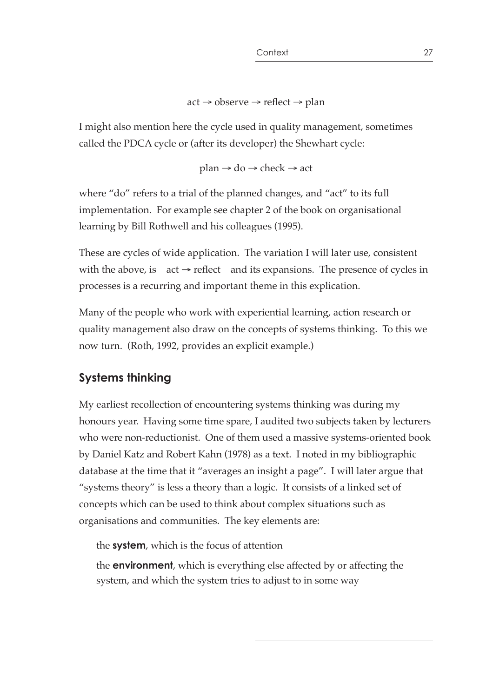```
act \rightarrow observe \rightarrow reflect \rightarrow plan
```
I might also mention here the cycle used in quality management, sometimes called the PDCA cycle or (after its developer) the Shewhart cycle:

 $plan \rightarrow do \rightarrow check \rightarrow act$ 

where "do" refers to a trial of the planned changes, and "act" to its full implementation. For example see chapter 2 of the book on organisational learning by Bill Rothwell and his colleagues (1995).

These are cycles of wide application. The variation I will later use, consistent with the above, is  $act \rightarrow reflect$  and its expansions. The presence of cycles in processes is a recurring and important theme in this explication.

Many of the people who work with experiential learning, action research or quality management also draw on the concepts of systems thinking. To this we now turn. (Roth, 1992, provides an explicit example.)

## **Systems thinking**

My earliest recollection of encountering systems thinking was during my honours year. Having some time spare, I audited two subjects taken by lecturers who were non-reductionist. One of them used a massive systems-oriented book by Daniel Katz and Robert Kahn (1978) as a text. I noted in my bibliographic database at the time that it "averages an insight a page". I will later argue that "systems theory" is less a theory than a logic. It consists of a linked set of concepts which can be used to think about complex situations such as organisations and communities. The key elements are:

the **system**, which is the focus of attention

the **environment**, which is everything else affected by or affecting the system, and which the system tries to adjust to in some way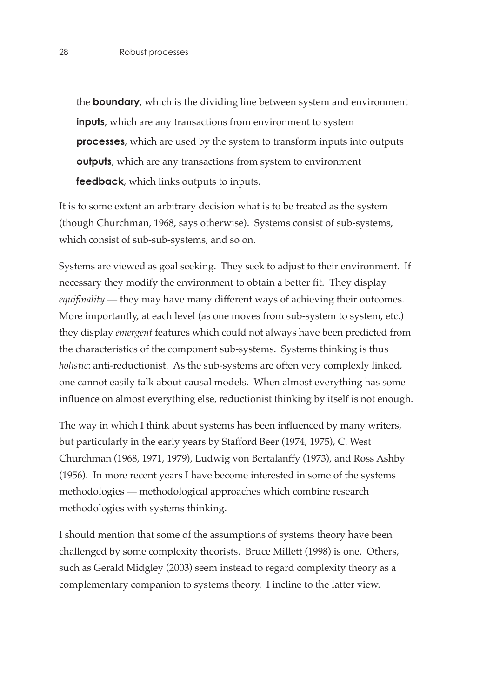the **boundary**, which is the dividing line between system and environment **inputs**, which are any transactions from environment to system **processes**, which are used by the system to transform inputs into outputs **outputs**, which are any transactions from system to environment **feedback**, which links outputs to inputs.

It is to some extent an arbitrary decision what is to be treated as the system (though Churchman, 1968, says otherwise). Systems consist of sub-systems, which consist of sub-sub-systems, and so on.

Systems are viewed as goal seeking. They seek to adjust to their environment. If necessary they modify the environment to obtain a better fit. They display *equifinality* — they may have many different ways of achieving their outcomes. More importantly, at each level (as one moves from sub-system to system, etc.) they display *emergent* features which could not always have been predicted from the characteristics of the component sub-systems. Systems thinking is thus *holistic*: anti-reductionist. As the sub-systems are often very complexly linked, one cannot easily talk about causal models. When almost everything has some influence on almost everything else, reductionist thinking by itself is not enough.

The way in which I think about systems has been influenced by many writers, but particularly in the early years by Stafford Beer (1974, 1975), C. West Churchman (1968, 1971, 1979), Ludwig von Bertalanffy (1973), and Ross Ashby (1956). In more recent years I have become interested in some of the systems methodologies — methodological approaches which combine research methodologies with systems thinking.

I should mention that some of the assumptions of systems theory have been challenged by some complexity theorists. Bruce Millett (1998) is one. Others, such as Gerald Midgley (2003) seem instead to regard complexity theory as a complementary companion to systems theory. I incline to the latter view.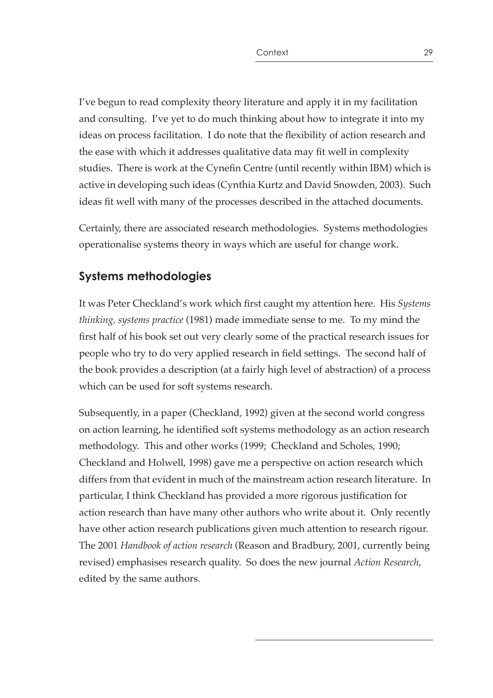I've begun to read complexity theory literature and apply it in my facilitation and consulting. I've yet to do much thinking about how to integrate it into my ideas on process facilitation. I do note that the flexibility of action research and the ease with which it addresses qualitative data may fit well in complexity studies. There is work at the Cynefin Centre (until recently within IBM) which is active in developing such ideas (Cynthia Kurtz and David Snowden, 2003). Such ideas fit well with many of the processes described in the attached documents.

Certainly, there are associated research methodologies. Systems methodologies operationalise systems theory in ways which are useful for change work.

## **Systems methodologies**

It was Peter Checkland's work which first caught my attention here. His *Systems thinking, systems practice* (1981) made immediate sense to me. To my mind the first half of his book set out very clearly some of the practical research issues for people who try to do very applied research in field settings. The second half of the book provides a description (at a fairly high level of abstraction) of a process which can be used for soft systems research.

Subsequently, in a paper (Checkland, 1992) given at the second world congress on action learning, he identified soft systems methodology as an action research methodology. This and other works (1999; Checkland and Scholes, 1990; Checkland and Holwell, 1998) gave me a perspective on action research which differs from that evident in much of the mainstream action research literature. In particular, I think Checkland has provided a more rigorous justification for action research than have many other authors who write about it. Only recently have other action research publications given much attention to research rigour. The 2001 *Handbook of action research* (Reason and Bradbury, 2001, currently being revised) emphasises research quality. So does the new journal *Action Research*, edited by the same authors.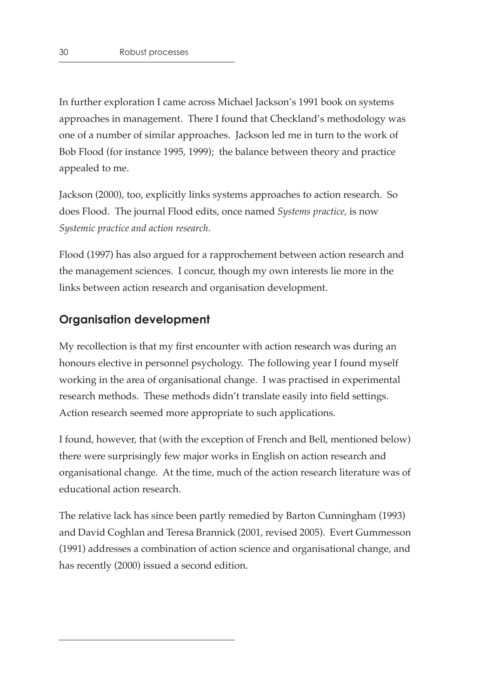In further exploration I came across Michael Jackson's 1991 book on systems approaches in management. There I found that Checkland's methodology was one of a number of similar approaches. Jackson led me in turn to the work of Bob Flood (for instance 1995, 1999); the balance between theory and practice appealed to me.

Jackson (2000), too, explicitly links systems approaches to action research. So does Flood. The journal Flood edits, once named *Systems practice,* is now *Systemic practice and action research*.

Flood (1997) has also argued for a rapprochement between action research and the management sciences. I concur, though my own interests lie more in the links between action research and organisation development.

#### **Organisation development**

My recollection is that my first encounter with action research was during an honours elective in personnel psychology. The following year I found myself working in the area of organisational change. I was practised in experimental research methods. These methods didn't translate easily into field settings. Action research seemed more appropriate to such applications.

I found, however, that (with the exception of French and Bell, mentioned below) there were surprisingly few major works in English on action research and organisational change. At the time, much of the action research literature was of educational action research.

The relative lack has since been partly remedied by Barton Cunningham (1993) and David Coghlan and Teresa Brannick (2001, revised 2005). Evert Gummesson (1991) addresses a combination of action science and organisational change, and has recently (2000) issued a second edition.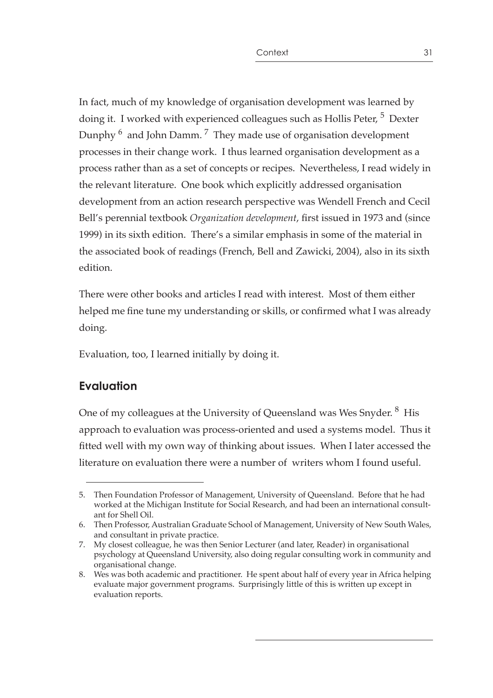In fact, much of my knowledge of organisation development was learned by doing it. I worked with experienced colleagues such as Hollis Peter, <sup>5</sup> Dexter Dunphy 6 and John Damm. 7 They made use of organisation development processes in their change work. I thus learned organisation development as a process rather than as a set of concepts or recipes. Nevertheless, I read widely in the relevant literature. One book which explicitly addressed organisation development from an action research perspective was Wendell French and Cecil Bell's perennial textbook *Organization development*, first issued in 1973 and (since 1999) in its sixth edition. There's a similar emphasis in some of the material in the associated book of readings (French, Bell and Zawicki, 2004), also in its sixth edition.

There were other books and articles I read with interest. Most of them either helped me fine tune my understanding or skills, or confirmed what I was already doing.

Evaluation, too, I learned initially by doing it.

## **Evaluation**

One of my colleagues at the University of Queensland was Wes Snyder. <sup>8</sup> His approach to evaluation was process-oriented and used a systems model. Thus it fitted well with my own way of thinking about issues. When I later accessed the literature on evaluation there were a number of writers whom I found useful.

<sup>5.</sup> Then Foundation Professor of Management, University of Queensland. Before that he had worked at the Michigan Institute for Social Research, and had been an international consultant for Shell Oil.

<sup>6.</sup> Then Professor, Australian Graduate School of Management, University of New South Wales, and consultant in private practice.

<sup>7.</sup> My closest colleague, he was then Senior Lecturer (and later, Reader) in organisational psychology at Queensland University, also doing regular consulting work in community and organisational change.

<sup>8.</sup> Wes was both academic and practitioner. He spent about half of every year in Africa helping evaluate major government programs. Surprisingly little of this is written up except in evaluation reports.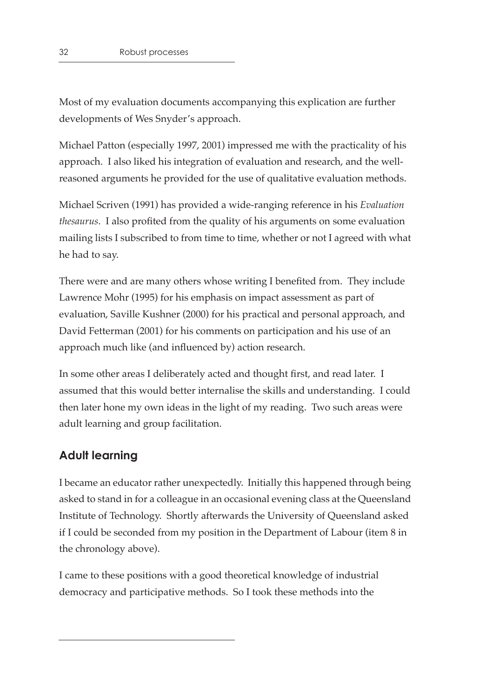Most of my evaluation documents accompanying this explication are further developments of Wes Snyder's approach.

Michael Patton (especially 1997, 2001) impressed me with the practicality of his approach. I also liked his integration of evaluation and research, and the wellreasoned arguments he provided for the use of qualitative evaluation methods.

Michael Scriven (1991) has provided a wide-ranging reference in his *Evaluation thesaurus*. I also profited from the quality of his arguments on some evaluation mailing lists I subscribed to from time to time, whether or not I agreed with what he had to say.

There were and are many others whose writing I benefited from. They include Lawrence Mohr (1995) for his emphasis on impact assessment as part of evaluation, Saville Kushner (2000) for his practical and personal approach, and David Fetterman (2001) for his comments on participation and his use of an approach much like (and influenced by) action research.

In some other areas I deliberately acted and thought first, and read later. I assumed that this would better internalise the skills and understanding. I could then later hone my own ideas in the light of my reading. Two such areas were adult learning and group facilitation.

## **Adult learning**

I became an educator rather unexpectedly. Initially this happened through being asked to stand in for a colleague in an occasional evening class at the Queensland Institute of Technology. Shortly afterwards the University of Queensland asked if I could be seconded from my position in the Department of Labour (item 8 in the chronology above).

I came to these positions with a good theoretical knowledge of industrial democracy and participative methods. So I took these methods into the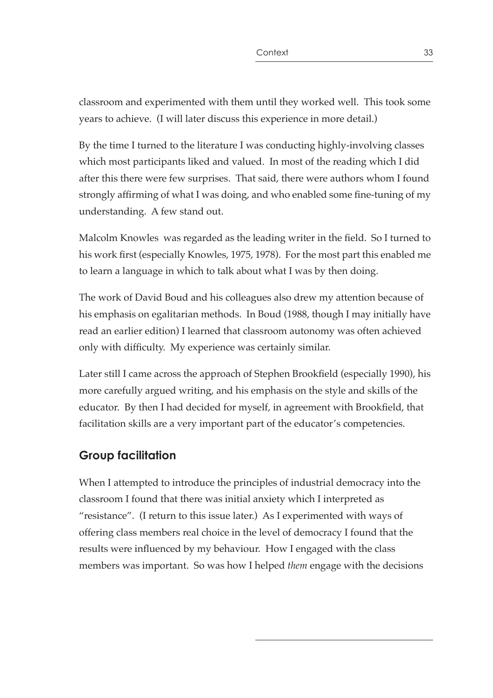classroom and experimented with them until they worked well. This took some years to achieve. (I will later discuss this experience in more detail.)

By the time I turned to the literature I was conducting highly-involving classes which most participants liked and valued. In most of the reading which I did after this there were few surprises. That said, there were authors whom I found strongly affirming of what I was doing, and who enabled some fine-tuning of my understanding. A few stand out.

Malcolm Knowles was regarded as the leading writer in the field. So I turned to his work first (especially Knowles, 1975, 1978). For the most part this enabled me to learn a language in which to talk about what I was by then doing.

The work of David Boud and his colleagues also drew my attention because of his emphasis on egalitarian methods. In Boud (1988, though I may initially have read an earlier edition) I learned that classroom autonomy was often achieved only with difficulty. My experience was certainly similar.

Later still I came across the approach of Stephen Brookfield (especially 1990), his more carefully argued writing, and his emphasis on the style and skills of the educator. By then I had decided for myself, in agreement with Brookfield, that facilitation skills are a very important part of the educator's competencies.

#### **Group facilitation**

When I attempted to introduce the principles of industrial democracy into the classroom I found that there was initial anxiety which I interpreted as "resistance". (I return to this issue later.) As I experimented with ways of offering class members real choice in the level of democracy I found that the results were influenced by my behaviour. How I engaged with the class members was important. So was how I helped *them* engage with the decisions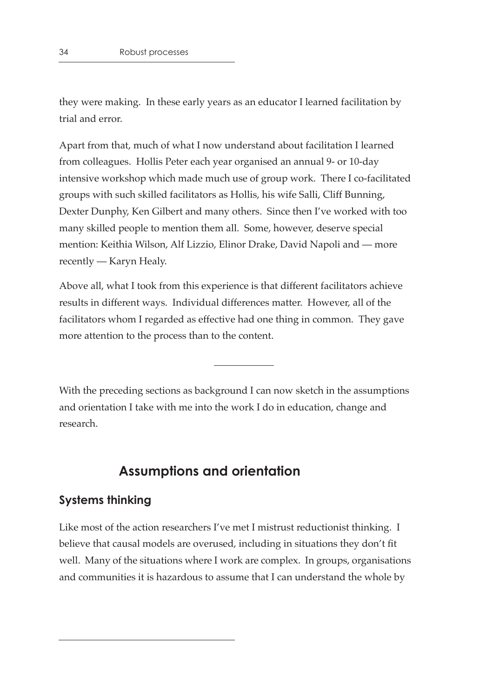they were making. In these early years as an educator I learned facilitation by trial and error.

Apart from that, much of what I now understand about facilitation I learned from colleagues. Hollis Peter each year organised an annual 9- or 10-day intensive workshop which made much use of group work. There I co-facilitated groups with such skilled facilitators as Hollis, his wife Salli, Cliff Bunning, Dexter Dunphy, Ken Gilbert and many others. Since then I've worked with too many skilled people to mention them all. Some, however, deserve special mention: Keithia Wilson, Alf Lizzio, Elinor Drake, David Napoli and — more recently — Karyn Healy.

Above all, what I took from this experience is that different facilitators achieve results in different ways. Individual differences matter. However, all of the facilitators whom I regarded as effective had one thing in common. They gave more attention to the process than to the content.

With the preceding sections as background I can now sketch in the assumptions and orientation I take with me into the work I do in education, change and research.

## **Assumptions and orientation**

#### **Systems thinking**

Like most of the action researchers I've met I mistrust reductionist thinking. I believe that causal models are overused, including in situations they don't fit well. Many of the situations where I work are complex. In groups, organisations and communities it is hazardous to assume that I can understand the whole by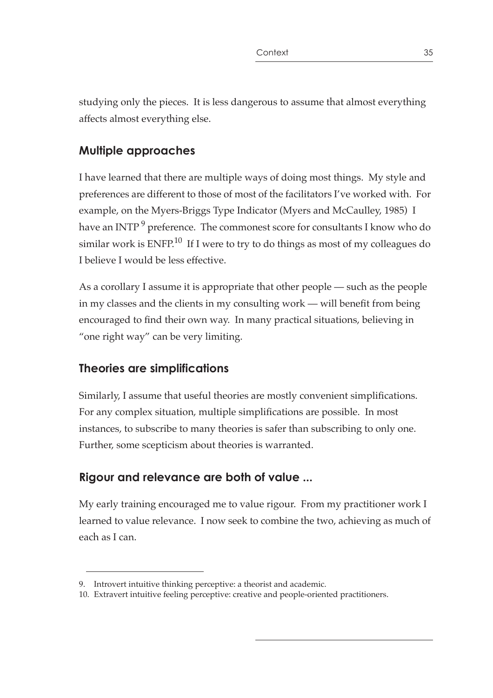studying only the pieces. It is less dangerous to assume that almost everything affects almost everything else.

## **Multiple approaches**

I have learned that there are multiple ways of doing most things. My style and preferences are different to those of most of the facilitators I've worked with. For example, on the Myers-Briggs Type Indicator (Myers and McCaulley, 1985) I have an INTP<sup>9</sup> preference. The commonest score for consultants I know who do similar work is  $ENFP<sup>10</sup>$  If I were to try to do things as most of my colleagues do I believe I would be less effective.

As a corollary I assume it is appropriate that other people — such as the people in my classes and the clients in my consulting work — will benefit from being encouraged to find their own way. In many practical situations, believing in "one right way" can be very limiting.

# **Theories are simplifications**

Similarly, I assume that useful theories are mostly convenient simplifications. For any complex situation, multiple simplifications are possible. In most instances, to subscribe to many theories is safer than subscribing to only one. Further, some scepticism about theories is warranted.

# **Rigour and relevance are both of value ...**

My early training encouraged me to value rigour. From my practitioner work I learned to value relevance. I now seek to combine the two, achieving as much of each as I can.

<sup>9.</sup> Introvert intuitive thinking perceptive: a theorist and academic.

<sup>10.</sup> Extravert intuitive feeling perceptive: creative and people-oriented practitioners.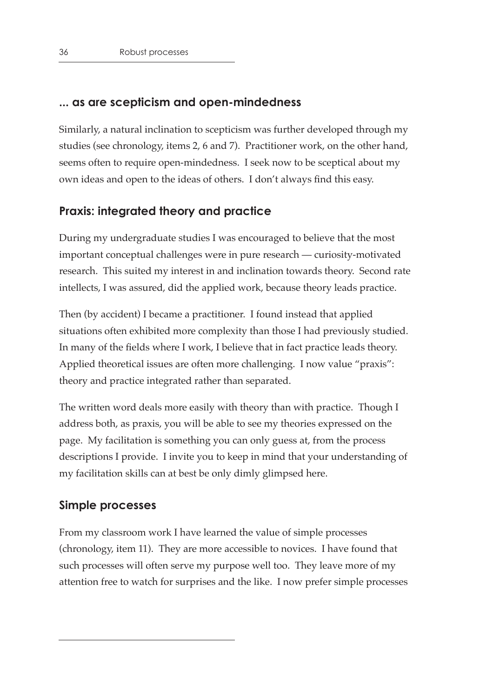#### **... as are scepticism and open-mindedness**

Similarly, a natural inclination to scepticism was further developed through my studies (see chronology, items 2, 6 and 7). Practitioner work, on the other hand, seems often to require open-mindedness. I seek now to be sceptical about my own ideas and open to the ideas of others. I don't always find this easy.

#### **Praxis: integrated theory and practice**

During my undergraduate studies I was encouraged to believe that the most important conceptual challenges were in pure research — curiosity-motivated research. This suited my interest in and inclination towards theory. Second rate intellects, I was assured, did the applied work, because theory leads practice.

Then (by accident) I became a practitioner. I found instead that applied situations often exhibited more complexity than those I had previously studied. In many of the fields where I work, I believe that in fact practice leads theory. Applied theoretical issues are often more challenging. I now value "praxis": theory and practice integrated rather than separated.

The written word deals more easily with theory than with practice. Though I address both, as praxis, you will be able to see my theories expressed on the page. My facilitation is something you can only guess at, from the process descriptions I provide. I invite you to keep in mind that your understanding of my facilitation skills can at best be only dimly glimpsed here.

#### **Simple processes**

From my classroom work I have learned the value of simple processes (chronology, item 11). They are more accessible to novices. I have found that such processes will often serve my purpose well too. They leave more of my attention free to watch for surprises and the like. I now prefer simple processes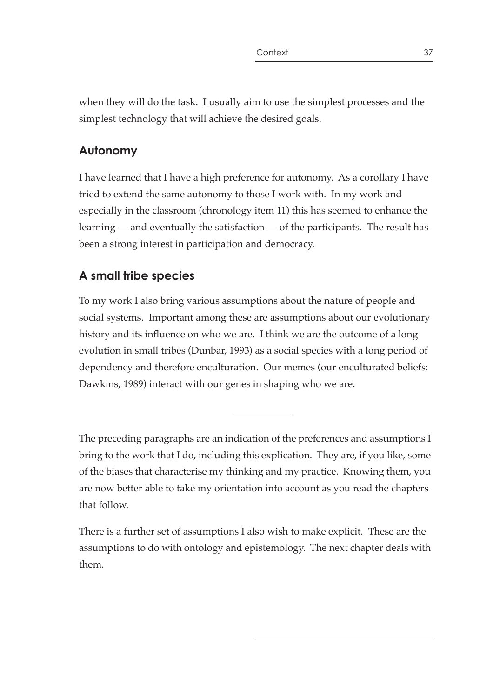when they will do the task. I usually aim to use the simplest processes and the simplest technology that will achieve the desired goals.

## **Autonomy**

I have learned that I have a high preference for autonomy. As a corollary I have tried to extend the same autonomy to those I work with. In my work and especially in the classroom (chronology item 11) this has seemed to enhance the learning — and eventually the satisfaction — of the participants. The result has been a strong interest in participation and democracy.

# **A small tribe species**

To my work I also bring various assumptions about the nature of people and social systems. Important among these are assumptions about our evolutionary history and its influence on who we are. I think we are the outcome of a long evolution in small tribes (Dunbar, 1993) as a social species with a long period of dependency and therefore enculturation. Our memes (our enculturated beliefs: Dawkins, 1989) interact with our genes in shaping who we are.

The preceding paragraphs are an indication of the preferences and assumptions I bring to the work that I do, including this explication. They are, if you like, some of the biases that characterise my thinking and my practice. Knowing them, you are now better able to take my orientation into account as you read the chapters that follow.

There is a further set of assumptions I also wish to make explicit. These are the assumptions to do with ontology and epistemology. The next chapter deals with them.